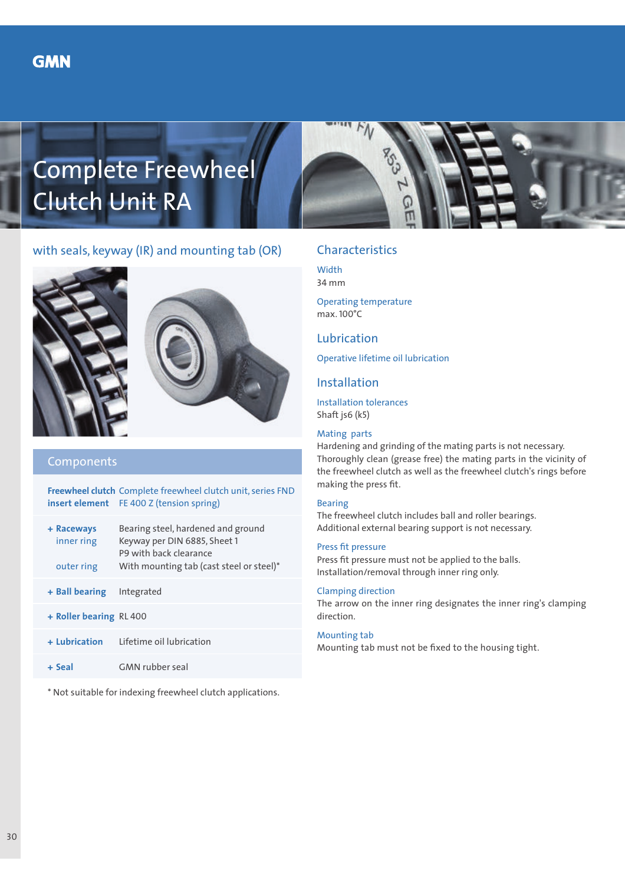# Complete Freewheel Clutch Unit RA



# with seals, keyway (IR) and mounting tab (OR)





### Components

**Freewheel clutch** Complete freewheel clutch unit, series FND **insert element** FE 400 Z (tension spring)

| + Raceways<br>inner ring<br>outer ring | Bearing steel, hardened and ground<br>Keyway per DIN 6885, Sheet 1<br>P9 with back clearance<br>With mounting tab (cast steel or steel)* |
|----------------------------------------|------------------------------------------------------------------------------------------------------------------------------------------|
| + Ball bearing                         | Integrated                                                                                                                               |

- **+ Roller bearing** RL 400
- **+ Lubrication** Lifetime oil lubrication
- **+ Seal** GMN rubber seal

\* Not suitable for indexing freewheel clutch applications.

# Characteristics

**Width** 34 mm

Operating temperature max. 100°C

## Lubrication

Operative lifetime oil lubrication

## Installation

Installation tolerances Shaft js6 (k5)

#### Mating parts

Hardening and grinding of the mating parts is not necessary. Thoroughly clean (grease free) the mating parts in the vicinity of the freewheel clutch as well as the freewheel clutch's rings before making the press fit.

#### Bearing

The freewheel clutch includes ball and roller bearings. Additional external bearing support is not necessary.

#### Press fit pressure

Press fit pressure must not be applied to the balls. Installation/removal through inner ring only.

#### Clamping direction

The arrow on the inner ring designates the inner ring's clamping direction.

#### Mounting tab

Mounting tab must not be fixed to the housing tight.